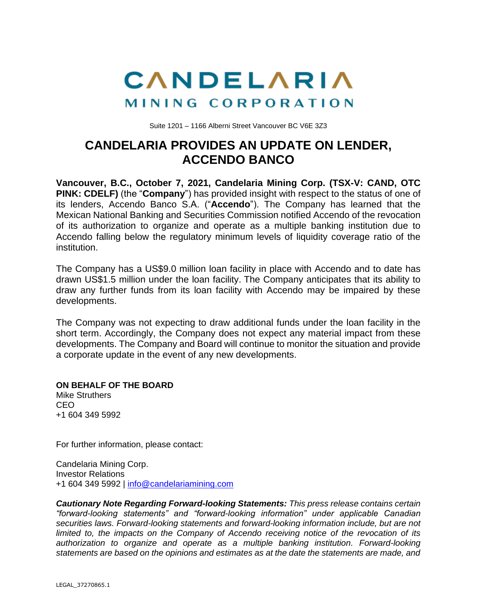

Suite 1201 – 1166 Alberni Street Vancouver BC V6E 3Z3

## **CANDELARIA PROVIDES AN UPDATE ON LENDER, ACCENDO BANCO**

**Vancouver, B.C., October 7, 2021, Candelaria Mining Corp. (TSX-V: CAND, OTC PINK: CDELF)** (the "**Company**") has provided insight with respect to the status of one of its lenders, Accendo Banco S.A. ("**Accendo**"). The Company has learned that the Mexican National Banking and Securities Commission notified Accendo of the revocation of its authorization to organize and operate as a multiple banking institution due to Accendo falling below the regulatory minimum levels of liquidity coverage ratio of the institution.

The Company has a US\$9.0 million loan facility in place with Accendo and to date has drawn US\$1.5 million under the loan facility. The Company anticipates that its ability to draw any further funds from its loan facility with Accendo may be impaired by these developments.

The Company was not expecting to draw additional funds under the loan facility in the short term. Accordingly, the Company does not expect any material impact from these developments. The Company and Board will continue to monitor the situation and provide a corporate update in the event of any new developments.

**ON BEHALF OF THE BOARD** Mike Struthers CEO +1 604 349 5992

For further information, please contact:

Candelaria Mining Corp. Investor Relations +1 604 349 5992 | [info@candelariamining.com](mailto:info@candelariamining.com)

*Cautionary Note Regarding Forward-looking Statements: This press release contains certain "forward-looking statements" and "forward-looking information" under applicable Canadian securities laws. Forward-looking statements and forward-looking information include, but are not limited to, the impacts on the Company of Accendo receiving notice of the revocation of its authorization to organize and operate as a multiple banking institution. Forward-looking statements are based on the opinions and estimates as at the date the statements are made, and*